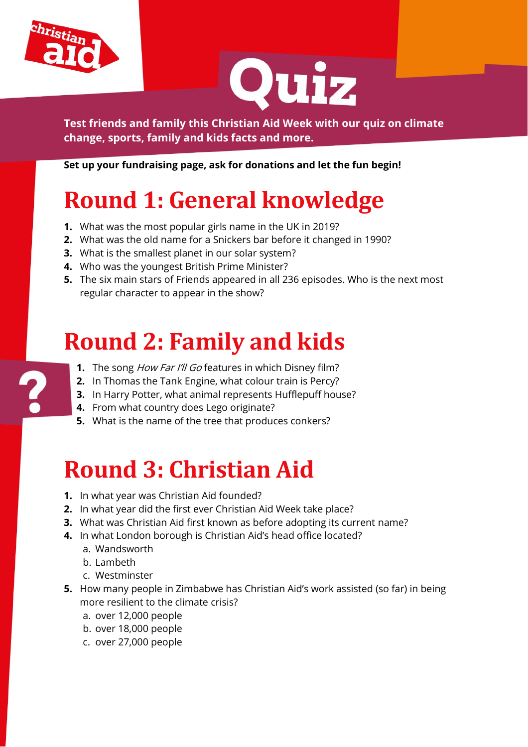



**Test friends and family this Christian Aid Week with our quiz on climate change, sports, family and kids facts and more.**

**Set up your fundraising page, ask for donations and let the fun begin!**

# **Round 1: General knowledge**

- **1.** What was the most popular girls name in the UK in 2019?
- **2.** What was the old name for a Snickers bar before it changed in 1990?
- **3.** What is the smallest planet in our solar system?
- **4.** Who was the youngest British Prime Minister?
- **5.** The six main stars of Friends appeared in all 236 episodes. Who is the next most regular character to appear in the show?

### **Round 2: Family and kids**

- **1.** The song *How Far I'll Go* features in which Disney film?
- **2.** In Thomas the Tank Engine, what colour train is Percy?
- **3.** In Harry Potter, what animal represents Hufflepuff house?
- **4.** From what country does Lego originate?
- **5.** What is the name of the tree that produces conkers?

## **Round 3: Christian Aid**

- **1.** In what year was Christian Aid founded?
- **2.** In what year did the first ever Christian Aid Week take place?
- **3.** What was Christian Aid first known as before adopting its current name?
- **4.** In what London borough is Christian Aid's head office located?
	- a. Wandsworth
	- b. Lambeth
	- c. Westminster
- **5.** How many people in Zimbabwe has Christian Aid's work assisted (so far) in being more resilient to the climate crisis?
	- a. over 12,000 people
	- b. over 18,000 people
	- c. over 27,000 people